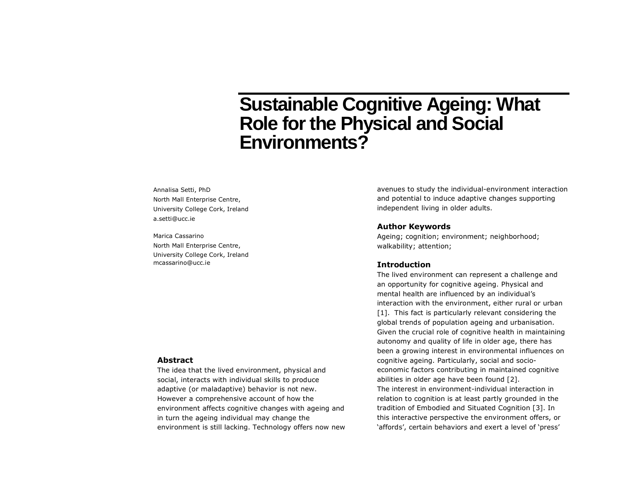# **Sustainable Cognitive Ageing: What Role for the Physical and Social Environments?**

Annalisa Setti, PhD North Mall Enterprise Centre, University College Cork, Ireland a.setti@ucc.ie

Marica Cassarino North Mall Enterprise Centre, University College Cork, Ireland mcassarino@ucc.ie

# avenues to study the individual-environment interaction and potential to induce adaptive changes supporting independent living in older adults.

### **Author Keywords**

Ageing; cognition; environment; neighborhood; walkability; attention;

# **Introduction**

The lived environment can represent a challenge and an opportunity for cognitive ageing. Physical and mental health are influenced by an individual's interaction with the environment, either rural or urban [\[1\]](#page-2-0). This fact is particularly relevant considering the global trends of population ageing and urbanisation. Given the crucial role of cognitive health in maintaining autonomy and quality of life in older age, there has been a growing interest in environmental influences on cognitive ageing. Particularly, social and socioeconomic factors contributing in maintained cognitive abilities in older age have been found [\[2\]](#page-2-1). The interest in environment-individual interaction in relation to cognition is at least partly grounded in the tradition of Embodied and Situated Cognition [\[3\]](#page-2-2). In this interactive perspective the environment offers, or 'affords', certain behaviors and exert a level of 'press'

# **Abstract**

The idea that the lived environment, physical and social, interacts with individual skills to produce adaptive (or maladaptive) behavior is not new. However a comprehensive account of how the environment affects cognitive changes with ageing and in turn the ageing individual may change the environment is still lacking. Technology offers now new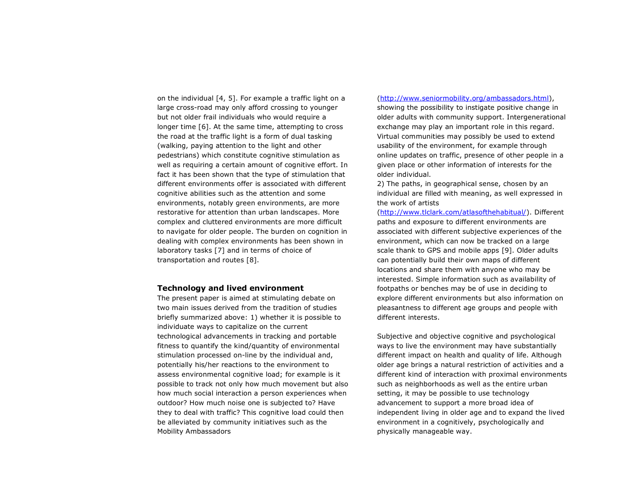on the individual [\[4,](#page-2-3) [5\]](#page-2-4). For example a traffic light on a large cross-road may only afford crossing to younger but not older frail individuals who would require a longer time [\[6\]](#page-2-5). At the same time, attempting to cross the road at the traffic light is a form of dual tasking (walking, paying attention to the light and other pedestrians) which constitute cognitive stimulation as well as requiring a certain amount of cognitive effort. In fact it has been shown that the type of stimulation that different environments offer is associated with different cognitive abilities such as the attention and some environments, notably green environments, are more restorative for attention than urban landscapes. More complex and cluttered environments are more difficult to navigate for older people. The burden on cognition in dealing with complex environments has been shown in laboratory tasks [\[7\]](#page-2-6) and in terms of choice of transportation and routes [\[8\]](#page-2-7).

#### **Technology and lived environment**

The present paper is aimed at stimulating debate on two main issues derived from the tradition of studies briefly summarized above: 1) whether it is possible to individuate ways to capitalize on the current technological advancements in tracking and portable fitness to quantify the kind/quantity of environmental stimulation processed on-line by the individual and, potentially his/her reactions to the environment to assess environmental cognitive load; for example is it possible to track not only how much movement but also how much social interaction a person experiences when outdoor? How much noise one is subjected to? Have they to deal with traffic? This cognitive load could then be alleviated by community initiatives such as the Mobility Ambassadors

#### [\(http://www.seniormobility.org/ambassadors.html\)](http://www.seniormobility.org/ambassadors.html),

showing the possibility to instigate positive change in older adults with community support. Intergenerational exchange may play an important role in this regard. Virtual communities may possibly be used to extend usability of the environment, for example through online updates on traffic, presence of other people in a given place or other information of interests for the older individual.

2) The paths, in geographical sense, chosen by an individual are filled with meaning, as well expressed in the work of artists

[\(http://www.tlclark.com/atlasofthehabitual/\)](http://www.tlclark.com/atlasofthehabitual/). Different paths and exposure to different environments are associated with different subjective experiences of the environment, which can now be tracked on a large scale thank to GPS and mobile apps [\[9\]](#page-2-8). Older adults can potentially build their own maps of different locations and share them with anyone who may be interested. Simple information such as availability of footpaths or benches may be of use in deciding to explore different environments but also information on pleasantness to different age groups and people with different interests.

Subjective and objective cognitive and psychological ways to live the environment may have substantially different impact on health and quality of life. Although older age brings a natural restriction of activities and a different kind of interaction with proximal environments such as neighborhoods as well as the entire urban setting, it may be possible to use technology advancement to support a more broad idea of independent living in older age and to expand the lived environment in a cognitively, psychologically and physically manageable way.